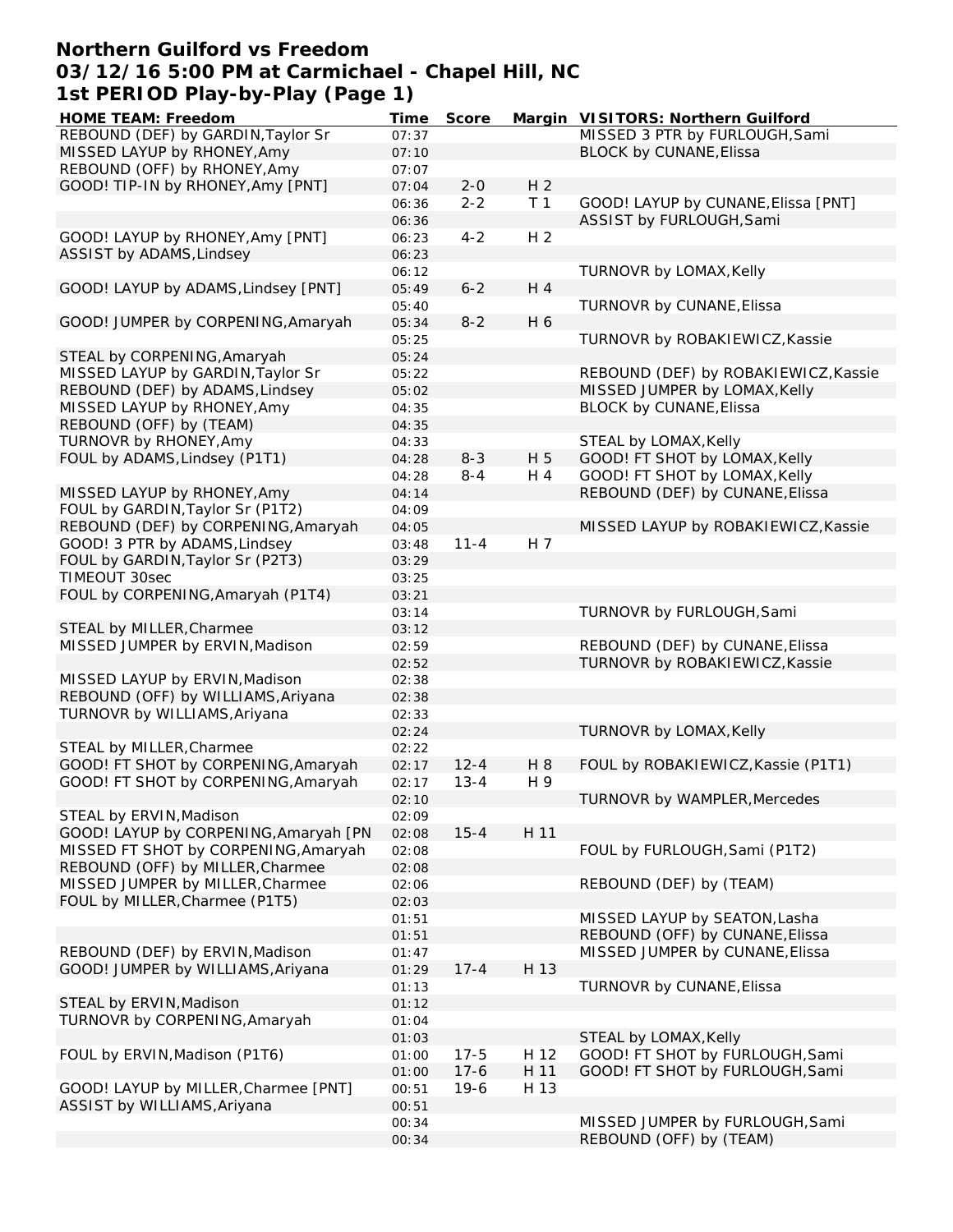### **Northern Guilford vs Freedom 03/12/16 5:00 PM at Carmichael - Chapel Hill, NC 1st PERIOD Play-by-Play (Page 1)**

| HOME TEAM: Freedom                    | Time  | Score    |                | Margin VISITORS: Northern Guilford   |
|---------------------------------------|-------|----------|----------------|--------------------------------------|
| REBOUND (DEF) by GARDIN, Taylor Sr    | 07:37 |          |                | MISSED 3 PTR by FURLOUGH, Sami       |
| MISSED LAYUP by RHONEY, Amy           | 07:10 |          |                | BLOCK by CUNANE, Elissa              |
| REBOUND (OFF) by RHONEY, Amy          | 07:07 |          |                |                                      |
| GOOD! TIP-IN by RHONEY, Amy [PNT]     | 07:04 | $2 - 0$  | H <sub>2</sub> |                                      |
|                                       | 06:36 | $2 - 2$  | T <sub>1</sub> | GOOD! LAYUP by CUNANE, Elissa [PNT]  |
|                                       |       |          |                |                                      |
|                                       | 06:36 |          |                | ASSIST by FURLOUGH, Sami             |
| GOOD! LAYUP by RHONEY, Amy [PNT]      | 06:23 | $4 - 2$  | H <sub>2</sub> |                                      |
| ASSIST by ADAMS, Lindsey              | 06:23 |          |                |                                      |
|                                       | 06:12 |          |                | TURNOVR by LOMAX, Kelly              |
| GOOD! LAYUP by ADAMS, Lindsey [PNT]   | 05:49 | $6 - 2$  | H 4            |                                      |
|                                       | 05:40 |          |                | TURNOVR by CUNANE, Elissa            |
| GOOD! JUMPER by CORPENING, Amaryah    | 05:34 | $8 - 2$  | H 6            |                                      |
|                                       | 05:25 |          |                | TURNOVR by ROBAKIEWICZ, Kassie       |
|                                       |       |          |                |                                      |
| STEAL by CORPENING, Amaryah           | 05:24 |          |                |                                      |
| MISSED LAYUP by GARDIN, Taylor Sr     | 05:22 |          |                | REBOUND (DEF) by ROBAKIEWICZ, Kassie |
| REBOUND (DEF) by ADAMS, Lindsey       | 05:02 |          |                | MISSED JUMPER by LOMAX, Kelly        |
| MISSED LAYUP by RHONEY, Amy           | 04:35 |          |                | BLOCK by CUNANE, Elissa              |
| REBOUND (OFF) by (TEAM)               | 04:35 |          |                |                                      |
| TURNOVR by RHONEY, Amy                | 04:33 |          |                | STEAL by LOMAX, Kelly                |
| FOUL by ADAMS, Lindsey (P1T1)         | 04:28 | $8 - 3$  | H 5            | GOOD! FT SHOT by LOMAX, Kelly        |
|                                       |       |          |                |                                      |
|                                       | 04:28 | $8 - 4$  | H 4            | GOOD! FT SHOT by LOMAX, Kelly        |
| MISSED LAYUP by RHONEY, Amy           | 04:14 |          |                | REBOUND (DEF) by CUNANE, Elissa      |
| FOUL by GARDIN, Taylor Sr (P1T2)      | 04:09 |          |                |                                      |
| REBOUND (DEF) by CORPENING, Amaryah   | 04:05 |          |                | MISSED LAYUP by ROBAKIEWICZ, Kassie  |
| GOOD! 3 PTR by ADAMS, Lindsey         | 03:48 | $11 - 4$ | H 7            |                                      |
| FOUL by GARDIN, Taylor Sr (P2T3)      | 03:29 |          |                |                                      |
| TIMEOUT 30sec                         | 03:25 |          |                |                                      |
|                                       |       |          |                |                                      |
| FOUL by CORPENING, Amaryah (P1T4)     | 03:21 |          |                |                                      |
|                                       | 03:14 |          |                | TURNOVR by FURLOUGH, Sami            |
| STEAL by MILLER, Charmee              | 03:12 |          |                |                                      |
| MISSED JUMPER by ERVIN, Madison       | 02:59 |          |                | REBOUND (DEF) by CUNANE, Elissa      |
|                                       | 02:52 |          |                | TURNOVR by ROBAKIEWICZ, Kassie       |
| MISSED LAYUP by ERVIN, Madison        | 02:38 |          |                |                                      |
| REBOUND (OFF) by WILLIAMS, Ariyana    | 02:38 |          |                |                                      |
| TURNOVR by WILLIAMS, Ariyana          | 02:33 |          |                |                                      |
|                                       | 02:24 |          |                |                                      |
|                                       |       |          |                | TURNOVR by LOMAX, Kelly              |
| STEAL by MILLER, Charmee              | 02:22 |          |                |                                      |
| GOOD! FT SHOT by CORPENING, Amaryah   | 02:17 | $12 - 4$ | H 8            | FOUL by ROBAKIEWICZ, Kassie (P1T1)   |
| GOOD! FT SHOT by CORPENING, Amaryah   | 02:17 | $13 - 4$ | H 9            |                                      |
|                                       | 02:10 |          |                | TURNOVR by WAMPLER, Mercedes         |
| STEAL by ERVIN, Madison               | 02:09 |          |                |                                      |
| GOOD! LAYUP by CORPENING, Amaryah [PN | 02:08 | $15 - 4$ | H 11           |                                      |
| MISSED FT SHOT by CORPENING, Amaryah  | 02:08 |          |                | FOUL by FURLOUGH, Sami (P1T2)        |
| REBOUND (OFF) by MILLER, Charmee      | 02:08 |          |                |                                      |
|                                       |       |          |                | REBOUND (DEF) by (TEAM)              |
| MISSED JUMPER by MILLER, Charmee      | 02:06 |          |                |                                      |
| FOUL by MILLER, Charmee (P1T5)        | 02:03 |          |                |                                      |
|                                       | 01:51 |          |                | MISSED LAYUP by SEATON, Lasha        |
|                                       | 01:51 |          |                | REBOUND (OFF) by CUNANE, Elissa      |
| REBOUND (DEF) by ERVIN, Madison       | 01:47 |          |                | MISSED JUMPER by CUNANE, Elissa      |
| GOOD! JUMPER by WILLIAMS, Ariyana     | 01:29 | $17 - 4$ | H 13           |                                      |
|                                       | 01:13 |          |                | TURNOVR by CUNANE, Elissa            |
| STEAL by ERVIN, Madison               | 01:12 |          |                |                                      |
|                                       |       |          |                |                                      |
| TURNOVR by CORPENING, Amaryah         | 01:04 |          |                |                                      |
|                                       | 01:03 |          |                | STEAL by LOMAX, Kelly                |
| FOUL by ERVIN, Madison (P1T6)         | 01:00 | $17 - 5$ | H 12           | GOOD! FT SHOT by FURLOUGH, Sami      |
|                                       | 01:00 | $17-6$   | H 11           | GOOD! FT SHOT by FURLOUGH, Sami      |
| GOOD! LAYUP by MILLER, Charmee [PNT]  | 00:51 | $19-6$   | H 13           |                                      |
| ASSIST by WILLIAMS, Ariyana           | 00:51 |          |                |                                      |
|                                       | 00:34 |          |                | MISSED JUMPER by FURLOUGH, Sami      |
|                                       | 00:34 |          |                | REBOUND (OFF) by (TEAM)              |
|                                       |       |          |                |                                      |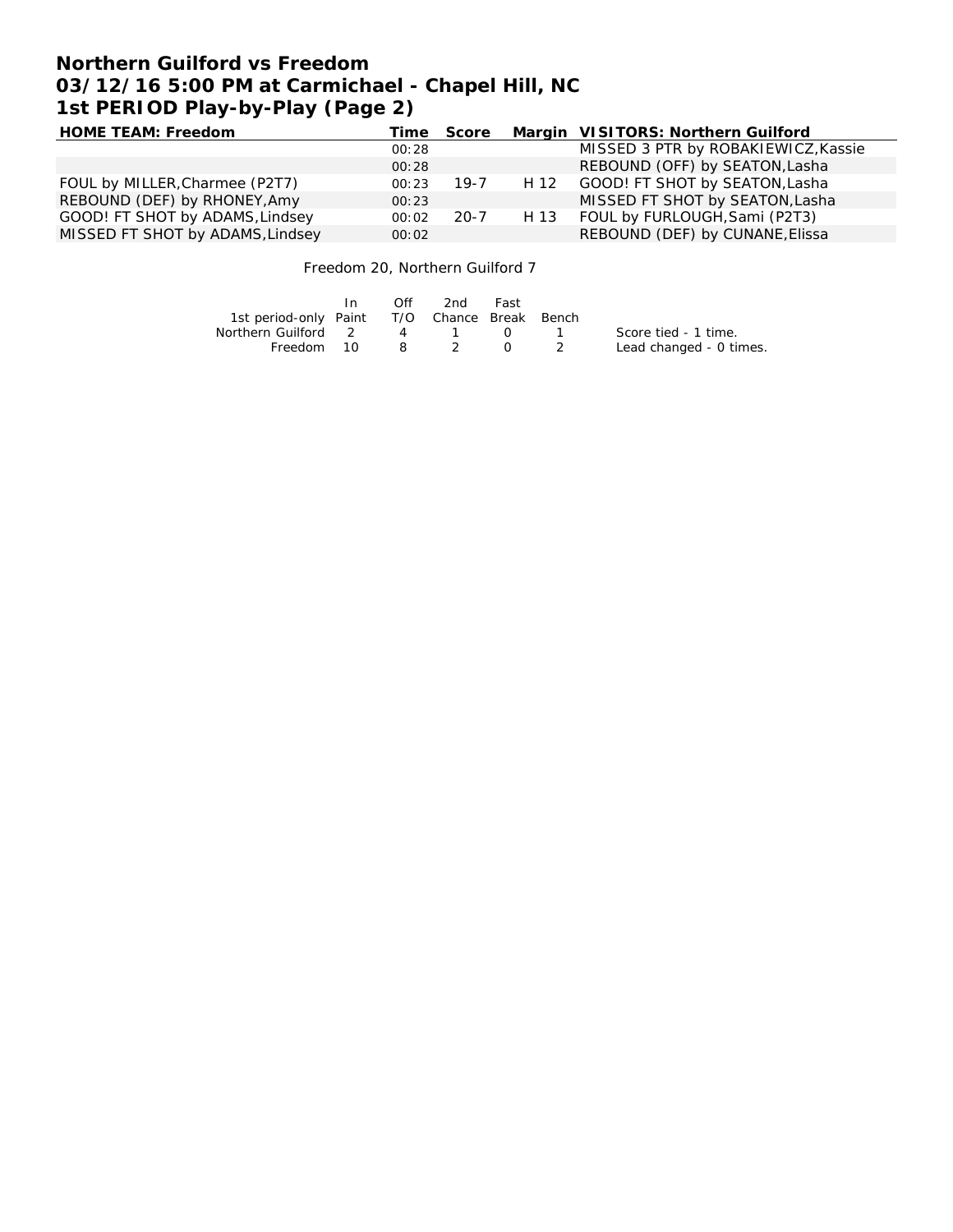# **Northern Guilford vs Freedom 03/12/16 5:00 PM at Carmichael - Chapel Hill, NC 1st PERIOD Play-by-Play (Page 2)**

| HOME TEAM: Freedom               |       | Time Score |      | Margin VISITORS: Northern Guilford  |
|----------------------------------|-------|------------|------|-------------------------------------|
|                                  | 00:28 |            |      | MISSED 3 PTR by ROBAKIEWICZ, Kassie |
|                                  | 00:28 |            |      | REBOUND (OFF) by SEATON, Lasha      |
| FOUL by MILLER, Charmee (P2T7)   | 00:23 | 19-7       |      | H 12 GOOD! FT SHOT by SEATON, Lasha |
| REBOUND (DEF) by RHONEY, Amy     | 00:23 |            |      | MISSED FT SHOT by SEATON, Lasha     |
| GOOD! FT SHOT by ADAMS, Lindsey  | 00:02 | $20 - 7$   | H 13 | FOUL by FURLOUGH, Sami (P2T3)       |
| MISSED FT SHOT by ADAMS, Lindsey | 00:02 |            |      | REBOUND (DEF) by CUNANE, Elissa     |

Freedom 20, Northern Guilford 7

|                                              | In | Off | -2nd  | Fast       |                         |
|----------------------------------------------|----|-----|-------|------------|-------------------------|
| 1st period-only Paint T/O Chance Break Bench |    |     |       |            |                         |
| Northern Guilford 2                          |    |     | 4 1 0 |            | Score tied - 1 time.    |
| Freedom 10                                   |    |     | 8 2   | $\Omega$ 2 | Lead changed - 0 times. |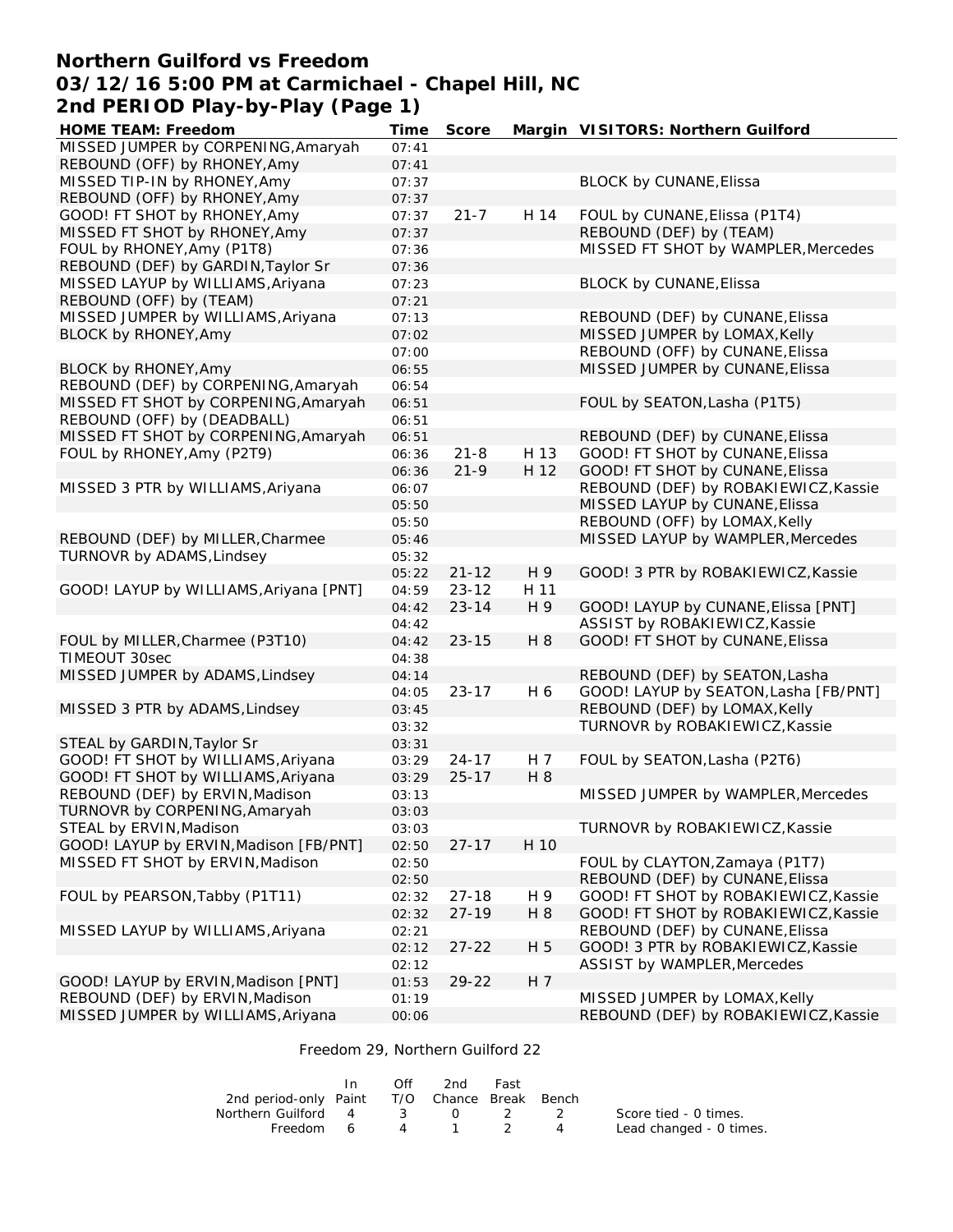### **Northern Guilford vs Freedom 03/12/16 5:00 PM at Carmichael - Chapel Hill, NC 2nd PERIOD Play-by-Play (Page 1)**

| HOME TEAM: Freedom                     | Time           | Score     |                | Margin VISITORS: Northern Guilford                                      |
|----------------------------------------|----------------|-----------|----------------|-------------------------------------------------------------------------|
| MISSED JUMPER by CORPENING, Amaryah    | 07:41          |           |                |                                                                         |
| REBOUND (OFF) by RHONEY, Amy           | 07:41          |           |                |                                                                         |
| MISSED TIP-IN by RHONEY, Amy           | 07:37          |           |                | <b>BLOCK by CUNANE, Elissa</b>                                          |
| REBOUND (OFF) by RHONEY, Amy           | 07:37          |           |                |                                                                         |
| GOOD! FT SHOT by RHONEY, Amy           | 07:37          | $21 - 7$  | H 14           | FOUL by CUNANE, Elissa (P1T4)                                           |
| MISSED FT SHOT by RHONEY, Amy          | 07:37          |           |                | REBOUND (DEF) by (TEAM)                                                 |
| FOUL by RHONEY, Amy (P1T8)             | 07:36          |           |                | MISSED FT SHOT by WAMPLER, Mercedes                                     |
| REBOUND (DEF) by GARDIN, Taylor Sr     | 07:36          |           |                |                                                                         |
| MISSED LAYUP by WILLIAMS, Ariyana      | 07:23          |           |                | <b>BLOCK by CUNANE, Elissa</b>                                          |
| REBOUND (OFF) by (TEAM)                | 07:21          |           |                |                                                                         |
| MISSED JUMPER by WILLIAMS, Ariyana     | 07:13          |           |                | REBOUND (DEF) by CUNANE, Elissa                                         |
| BLOCK by RHONEY, Amy                   | 07:02          |           |                | MISSED JUMPER by LOMAX, Kelly                                           |
|                                        | 07:00          |           |                | REBOUND (OFF) by CUNANE, Elissa                                         |
| BLOCK by RHONEY, Amy                   | 06:55          |           |                | MISSED JUMPER by CUNANE, Elissa                                         |
| REBOUND (DEF) by CORPENING, Amaryah    | 06:54          |           |                |                                                                         |
| MISSED FT SHOT by CORPENING, Amaryah   | 06:51          |           |                | FOUL by SEATON, Lasha (P1T5)                                            |
| REBOUND (OFF) by (DEADBALL)            | 06:51          |           |                |                                                                         |
| MISSED FT SHOT by CORPENING, Amaryah   | 06:51          |           |                | REBOUND (DEF) by CUNANE, Elissa                                         |
| FOUL by RHONEY, Amy (P2T9)             | 06:36          | $21 - 8$  | H 13           | GOOD! FT SHOT by CUNANE, Elissa                                         |
|                                        | 06:36          | $21 - 9$  | H 12           | GOOD! FT SHOT by CUNANE, Elissa                                         |
| MISSED 3 PTR by WILLIAMS, Ariyana      | 06:07          |           |                | REBOUND (DEF) by ROBAKIEWICZ, Kassie                                    |
|                                        | 05:50          |           |                | MISSED LAYUP by CUNANE, Elissa                                          |
|                                        | 05:50          |           |                | REBOUND (OFF) by LOMAX, Kelly                                           |
| REBOUND (DEF) by MILLER, Charmee       | 05:46          |           |                | MISSED LAYUP by WAMPLER, Mercedes                                       |
| TURNOVR by ADAMS, Lindsey              | 05:32          |           |                |                                                                         |
|                                        | 05:22          | $21 - 12$ | H 9            | GOOD! 3 PTR by ROBAKIEWICZ, Kassie                                      |
| GOOD! LAYUP by WILLIAMS, Ariyana [PNT] | 04:59          | $23 - 12$ | H 11           |                                                                         |
|                                        | 04:42          | $23 - 14$ | H 9            | GOOD! LAYUP by CUNANE, Elissa [PNT]                                     |
|                                        | 04:42          |           |                | ASSIST by ROBAKIEWICZ, Kassie                                           |
| FOUL by MILLER, Charmee (P3T10)        | 04:42          | $23 - 15$ | H 8            | GOOD! FT SHOT by CUNANE, Elissa                                         |
| TIMEOUT 30sec                          | 04:38          |           |                |                                                                         |
| MISSED JUMPER by ADAMS, Lindsey        | 04:14          | $23 - 17$ | H 6            | REBOUND (DEF) by SEATON, Lasha<br>GOOD! LAYUP by SEATON, Lasha [FB/PNT] |
| MISSED 3 PTR by ADAMS, Lindsey         | 04:05          |           |                | REBOUND (DEF) by LOMAX, Kelly                                           |
|                                        | 03:45<br>03:32 |           |                | TURNOVR by ROBAKIEWICZ, Kassie                                          |
| STEAL by GARDIN, Taylor Sr             | 03:31          |           |                |                                                                         |
| GOOD! FT SHOT by WILLIAMS, Ariyana     | 03:29          | $24 - 17$ | H 7            | FOUL by SEATON, Lasha (P2T6)                                            |
| GOOD! FT SHOT by WILLIAMS, Ariyana     | 03:29          | $25 - 17$ | H 8            |                                                                         |
| REBOUND (DEF) by ERVIN, Madison        | 03:13          |           |                | MISSED JUMPER by WAMPLER, Mercedes                                      |
| TURNOVR by CORPENING, Amaryah          | 03:03          |           |                |                                                                         |
| STEAL by ERVIN, Madison                | 03:03          |           |                | TURNOVR by ROBAKIEWICZ, Kassie                                          |
| GOOD! LAYUP by ERVIN, Madison [FB/PNT] | 02:50          | $27 - 17$ | H 10           |                                                                         |
| MISSED FT SHOT by ERVIN, Madison       | 02:50          |           |                | FOUL by CLAYTON, Zamaya (P1T7)                                          |
|                                        | 02:50          |           |                | REBOUND (DEF) by CUNANE, Elissa                                         |
| FOUL by PEARSON, Tabby (P1T11)         | 02:32          | $27 - 18$ | H 9            | GOOD! FT SHOT by ROBAKIEWICZ, Kassie                                    |
|                                        | 02:32          | $27 - 19$ | H 8            | GOOD! FT SHOT by ROBAKIEWICZ, Kassie                                    |
| MISSED LAYUP by WILLIAMS, Ariyana      | 02:21          |           |                | REBOUND (DEF) by CUNANE, Elissa                                         |
|                                        | 02:12          | $27 - 22$ | H 5            | GOOD! 3 PTR by ROBAKIEWICZ, Kassie                                      |
|                                        | 02:12          |           |                | ASSIST by WAMPLER, Mercedes                                             |
| GOOD! LAYUP by ERVIN, Madison [PNT]    | 01:53          | $29 - 22$ | H <sub>7</sub> |                                                                         |
| REBOUND (DEF) by ERVIN, Madison        | 01:19          |           |                | MISSED JUMPER by LOMAX, Kelly                                           |
| MISSED JUMPER by WILLIAMS, Ariyana     | 00:06          |           |                | REBOUND (DEF) by ROBAKIEWICZ, Kassie                                    |
|                                        |                |           |                |                                                                         |

#### Freedom 29, Northern Guilford 22

|                                              | In Off | 2nd | Fast |                         |
|----------------------------------------------|--------|-----|------|-------------------------|
| 2nd period-only Paint T/O Chance Break Bench |        |     |      |                         |
| Northern Guilford 4 3 0 2 2                  |        |     |      | Score tied - 0 times.   |
| Freedom 6 $4$ 1 2 $4$                        |        |     |      | Lead changed - 0 times. |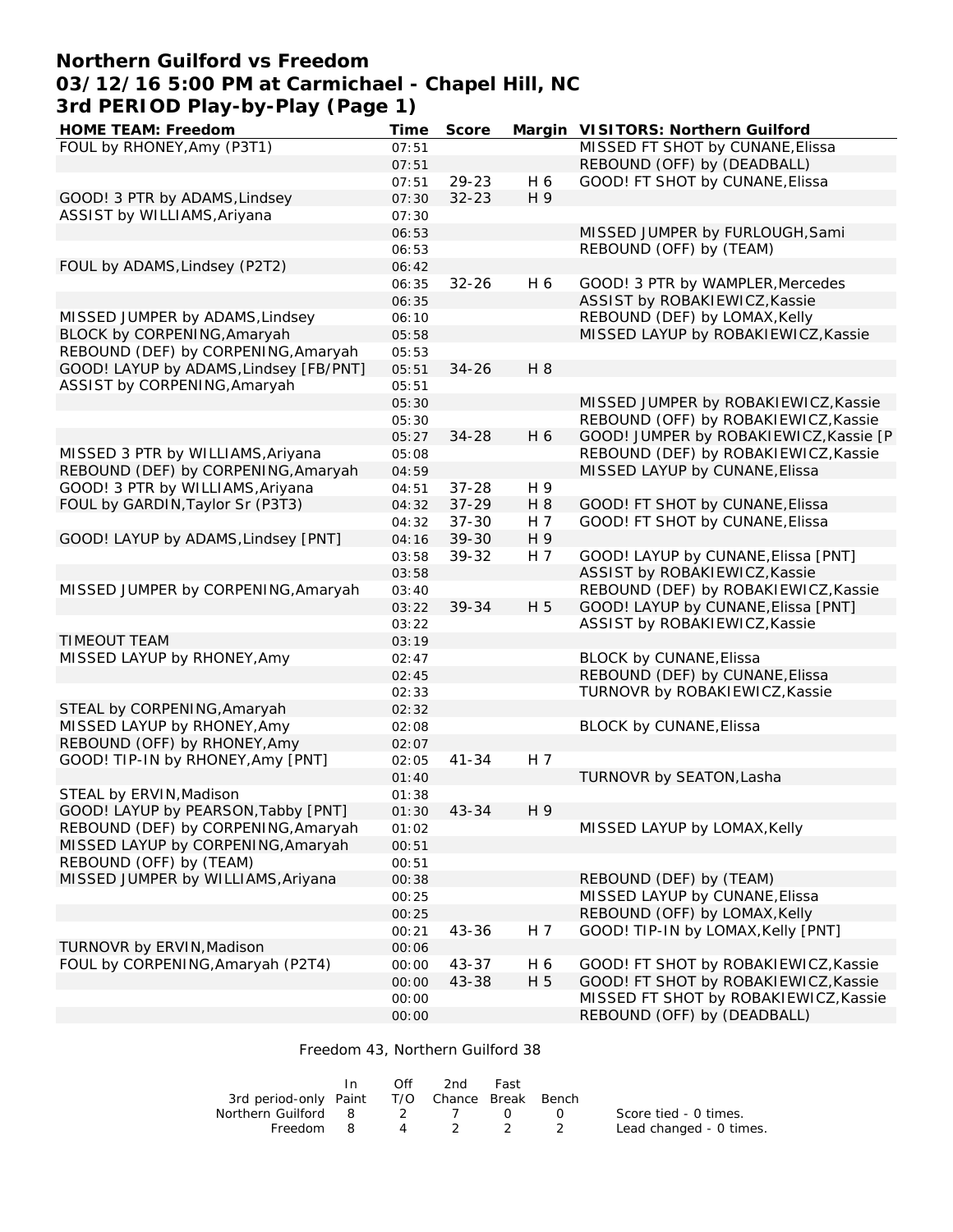## **Northern Guilford vs Freedom 03/12/16 5:00 PM at Carmichael - Chapel Hill, NC 3rd PERIOD Play-by-Play (Page 1)**

| HOME TEAM: Freedom                     | Time  | Score     |     | Margin VISITORS: Northern Guilford     |
|----------------------------------------|-------|-----------|-----|----------------------------------------|
| FOUL by RHONEY, Amy (P3T1)             | 07:51 |           |     | MISSED FT SHOT by CUNANE, Elissa       |
|                                        | 07:51 |           |     | REBOUND (OFF) by (DEADBALL)            |
|                                        | 07:51 | 29-23     | H 6 | GOOD! FT SHOT by CUNANE, Elissa        |
| GOOD! 3 PTR by ADAMS, Lindsey          | 07:30 | $32 - 23$ | H 9 |                                        |
| ASSIST by WILLIAMS, Ariyana            | 07:30 |           |     |                                        |
|                                        | 06:53 |           |     | MISSED JUMPER by FURLOUGH, Sami        |
|                                        | 06:53 |           |     | REBOUND (OFF) by (TEAM)                |
| FOUL by ADAMS, Lindsey (P2T2)          | 06:42 |           |     |                                        |
|                                        | 06:35 | $32 - 26$ | H 6 | GOOD! 3 PTR by WAMPLER, Mercedes       |
|                                        | 06:35 |           |     | ASSIST by ROBAKIEWICZ, Kassie          |
| MISSED JUMPER by ADAMS, Lindsey        | 06:10 |           |     | REBOUND (DEF) by LOMAX, Kelly          |
| BLOCK by CORPENING, Amaryah            | 05:58 |           |     | MISSED LAYUP by ROBAKIEWICZ, Kassie    |
| REBOUND (DEF) by CORPENING, Amaryah    |       |           |     |                                        |
|                                        | 05:53 |           |     |                                        |
| GOOD! LAYUP by ADAMS, Lindsey [FB/PNT] | 05:51 | $34 - 26$ | H 8 |                                        |
| ASSIST by CORPENING, Amaryah           | 05:51 |           |     |                                        |
|                                        | 05:30 |           |     | MISSED JUMPER by ROBAKIEWICZ, Kassie   |
|                                        | 05:30 |           |     | REBOUND (OFF) by ROBAKIEWICZ, Kassie   |
|                                        | 05:27 | $34 - 28$ | H 6 | GOOD! JUMPER by ROBAKIEWICZ, Kassie [P |
| MISSED 3 PTR by WILLIAMS, Ariyana      | 05:08 |           |     | REBOUND (DEF) by ROBAKIEWICZ, Kassie   |
| REBOUND (DEF) by CORPENING, Amaryah    | 04:59 |           |     | MISSED LAYUP by CUNANE, Elissa         |
| GOOD! 3 PTR by WILLIAMS, Ariyana       | 04:51 | $37 - 28$ | H 9 |                                        |
| FOUL by GARDIN, Taylor Sr (P3T3)       | 04:32 | $37 - 29$ | H 8 | GOOD! FT SHOT by CUNANE, Elissa        |
|                                        | 04:32 | $37 - 30$ | H 7 | GOOD! FT SHOT by CUNANE, Elissa        |
| GOOD! LAYUP by ADAMS, Lindsey [PNT]    | 04:16 | 39-30     | H 9 |                                        |
|                                        | 03:58 | 39-32     | H 7 | GOOD! LAYUP by CUNANE, Elissa [PNT]    |
|                                        | 03:58 |           |     | ASSIST by ROBAKIEWICZ, Kassie          |
| MISSED JUMPER by CORPENING, Amaryah    | 03:40 |           |     | REBOUND (DEF) by ROBAKIEWICZ, Kassie   |
|                                        | 03:22 | 39-34     | H 5 | GOOD! LAYUP by CUNANE, Elissa [PNT]    |
|                                        | 03:22 |           |     | ASSIST by ROBAKIEWICZ, Kassie          |
| TIMEOUT TEAM                           | 03:19 |           |     |                                        |
| MISSED LAYUP by RHONEY, Amy            | 02:47 |           |     | BLOCK by CUNANE, Elissa                |
|                                        | 02:45 |           |     | REBOUND (DEF) by CUNANE, Elissa        |
|                                        | 02:33 |           |     | TURNOVR by ROBAKIEWICZ, Kassie         |
| STEAL by CORPENING, Amaryah            | 02:32 |           |     |                                        |
| MISSED LAYUP by RHONEY, Amy            | 02:08 |           |     | BLOCK by CUNANE, Elissa                |
| REBOUND (OFF) by RHONEY, Amy           | 02:07 |           |     |                                        |
| GOOD! TIP-IN by RHONEY, Amy [PNT]      | 02:05 | $41 - 34$ | H 7 |                                        |
|                                        |       |           |     | TURNOVR by SEATON, Lasha               |
|                                        | 01:40 |           |     |                                        |
| STEAL by ERVIN, Madison                | 01:38 |           |     |                                        |
| GOOD! LAYUP by PEARSON, Tabby [PNT]    | 01:30 | 43-34     | H 9 |                                        |
| REBOUND (DEF) by CORPENING, Amaryah    | 01:02 |           |     | MISSED LAYUP by LOMAX, Kelly           |
| MISSED LAYUP by CORPENING, Amaryah     | 00:51 |           |     |                                        |
| REBOUND (OFF) by (TEAM)                | 00:51 |           |     |                                        |
| MISSED JUMPER by WILLIAMS, Ariyana     | 00:38 |           |     | REBOUND (DEF) by (TEAM)                |
|                                        | 00:25 |           |     | MISSED LAYUP by CUNANE, Elissa         |
|                                        | 00:25 |           |     | REBOUND (OFF) by LOMAX, Kelly          |
|                                        | 00:21 | 43-36     | H 7 | GOOD! TIP-IN by LOMAX, Kelly [PNT]     |
| TURNOVR by ERVIN, Madison              | 00:06 |           |     |                                        |
| FOUL by CORPENING, Amaryah (P2T4)      | 00:00 | $43 - 37$ | H 6 | GOOD! FT SHOT by ROBAKIEWICZ, Kassie   |
|                                        | 00:00 | 43-38     | H 5 | GOOD! FT SHOT by ROBAKIEWICZ, Kassie   |
|                                        | 00:00 |           |     | MISSED FT SHOT by ROBAKIEWICZ, Kassie  |
|                                        | 00:00 |           |     | REBOUND (OFF) by (DEADBALL)            |
|                                        |       |           |     |                                        |

#### Freedom 43, Northern Guilford 38

|                                              | In. | Off | 2nd     | Fast |                  |                         |
|----------------------------------------------|-----|-----|---------|------|------------------|-------------------------|
| 3rd period-only Paint T/O Chance Break Bench |     |     |         |      |                  |                         |
| Northern Guilford 8 2 7 0                    |     |     |         |      | $\left(1\right)$ | Score tied - 0 times.   |
| Freedom 8                                    |     |     | 4 2 2 2 |      |                  | Lead changed - 0 times. |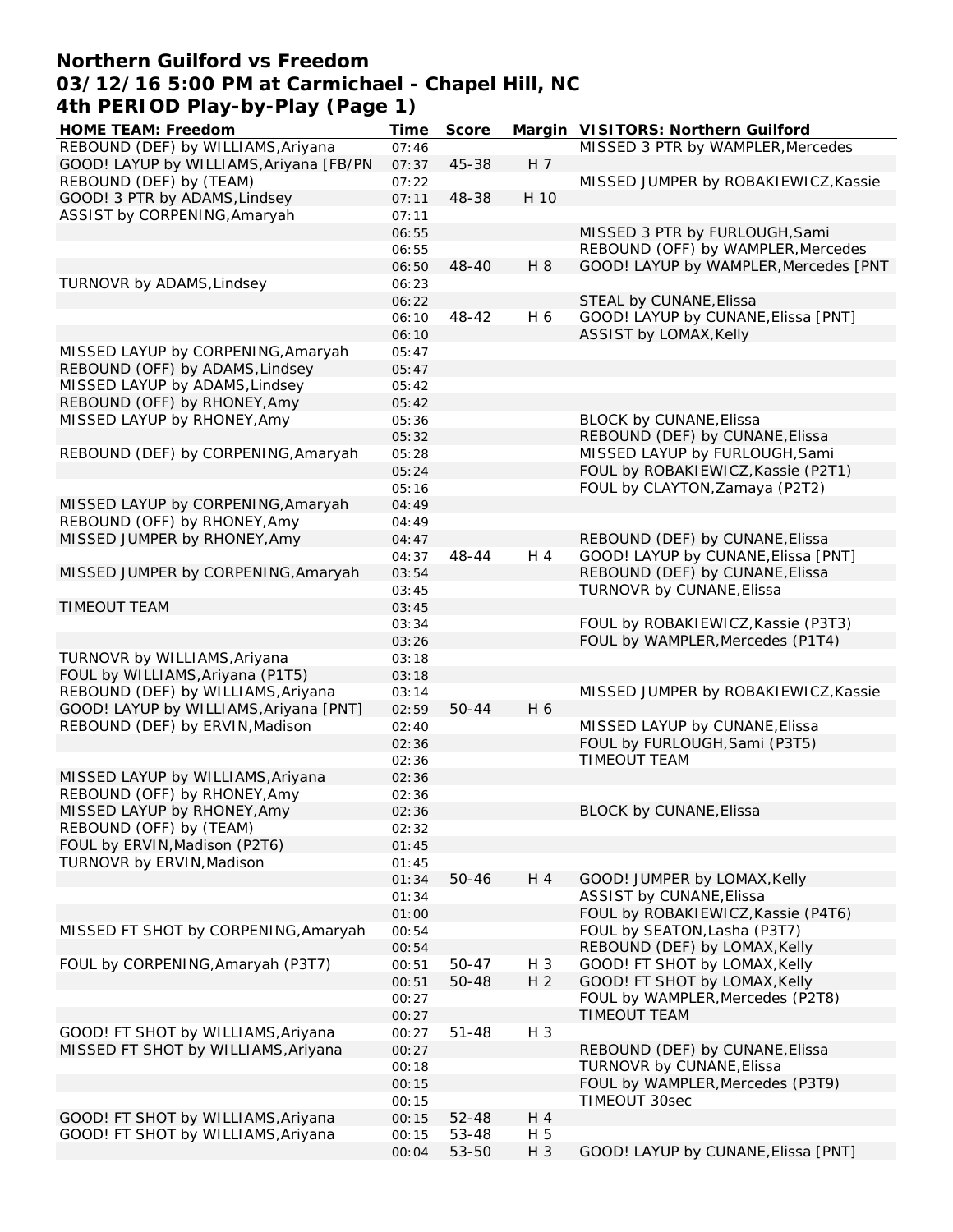### **Northern Guilford vs Freedom 03/12/16 5:00 PM at Carmichael - Chapel Hill, NC 4th PERIOD Play-by-Play (Page 1)**

| HOME TEAM: Freedom                      | Time  | Score     |                | Margin VISITORS: Northern Guilford    |
|-----------------------------------------|-------|-----------|----------------|---------------------------------------|
| REBOUND (DEF) by WILLIAMS, Ariyana      | 07:46 |           |                | MISSED 3 PTR by WAMPLER, Mercedes     |
| GOOD! LAYUP by WILLIAMS, Ariyana [FB/PN | 07:37 | 45-38     | H <sub>7</sub> |                                       |
| REBOUND (DEF) by (TEAM)                 | 07:22 |           |                | MISSED JUMPER by ROBAKIEWICZ, Kassie  |
| GOOD! 3 PTR by ADAMS, Lindsey           | 07:11 | 48-38     | H 10           |                                       |
| ASSIST by CORPENING, Amaryah            | 07:11 |           |                |                                       |
|                                         | 06:55 |           |                | MISSED 3 PTR by FURLOUGH, Sami        |
|                                         | 06:55 |           |                | REBOUND (OFF) by WAMPLER, Mercedes    |
|                                         | 06:50 | 48-40     | H 8            | GOOD! LAYUP by WAMPLER, Mercedes [PNT |
| TURNOVR by ADAMS, Lindsey               | 06:23 |           |                |                                       |
|                                         | 06:22 |           |                | STEAL by CUNANE, Elissa               |
|                                         | 06:10 | 48-42     | H 6            | GOOD! LAYUP by CUNANE, Elissa [PNT]   |
|                                         | 06:10 |           |                | ASSIST by LOMAX, Kelly                |
| MISSED LAYUP by CORPENING, Amaryah      | 05:47 |           |                |                                       |
| REBOUND (OFF) by ADAMS, Lindsey         | 05:47 |           |                |                                       |
| MISSED LAYUP by ADAMS, Lindsey          | 05:42 |           |                |                                       |
| REBOUND (OFF) by RHONEY, Amy            | 05:42 |           |                |                                       |
| MISSED LAYUP by RHONEY, Amy             | 05:36 |           |                | BLOCK by CUNANE, Elissa               |
|                                         | 05:32 |           |                | REBOUND (DEF) by CUNANE, Elissa       |
| REBOUND (DEF) by CORPENING, Amaryah     | 05:28 |           |                | MISSED LAYUP by FURLOUGH, Sami        |
|                                         | 05:24 |           |                | FOUL by ROBAKIEWICZ, Kassie (P2T1)    |
|                                         | 05:16 |           |                | FOUL by CLAYTON, Zamaya (P2T2)        |
| MISSED LAYUP by CORPENING, Amaryah      | 04:49 |           |                |                                       |
| REBOUND (OFF) by RHONEY, Amy            | 04:49 |           |                |                                       |
| MISSED JUMPER by RHONEY, Amy            | 04:47 |           |                | REBOUND (DEF) by CUNANE, Elissa       |
|                                         | 04:37 | 48-44     | H 4            | GOOD! LAYUP by CUNANE, Elissa [PNT]   |
| MISSED JUMPER by CORPENING, Amaryah     | 03:54 |           |                | REBOUND (DEF) by CUNANE, Elissa       |
|                                         | 03:45 |           |                | TURNOVR by CUNANE, Elissa             |
| TIMEOUT TEAM                            | 03:45 |           |                |                                       |
|                                         | 03:34 |           |                | FOUL by ROBAKIEWICZ, Kassie (P3T3)    |
|                                         | 03:26 |           |                | FOUL by WAMPLER, Mercedes (P1T4)      |
| TURNOVR by WILLIAMS, Ariyana            | 03:18 |           |                |                                       |
| FOUL by WILLIAMS, Ariyana (P1T5)        | 03:18 |           |                |                                       |
| REBOUND (DEF) by WILLIAMS, Ariyana      | 03:14 |           |                | MISSED JUMPER by ROBAKIEWICZ, Kassie  |
| GOOD! LAYUP by WILLIAMS, Ariyana [PNT]  | 02:59 | 50-44     | H 6            |                                       |
| REBOUND (DEF) by ERVIN, Madison         | 02:40 |           |                | MISSED LAYUP by CUNANE, Elissa        |
|                                         | 02:36 |           |                | FOUL by FURLOUGH, Sami (P3T5)         |
|                                         | 02:36 |           |                | TIMEOUT TEAM                          |
| MISSED LAYUP by WILLIAMS, Ariyana       | 02:36 |           |                |                                       |
| REBOUND (OFF) by RHONEY, Amy            | 02:36 |           |                |                                       |
| MISSED LAYUP by RHONEY, Amy             | 02:36 |           |                | <b>BLOCK by CUNANE, Elissa</b>        |
| REBOUND (OFF) by (TEAM)                 | 02:32 |           |                |                                       |
| FOUL by ERVIN, Madison (P2T6)           | 01:45 |           |                |                                       |
| TURNOVR by ERVIN, Madison               | 01:45 |           |                |                                       |
|                                         | 01:34 | 50-46     | H 4            | GOOD! JUMPER by LOMAX, Kelly          |
|                                         | 01:34 |           |                | ASSIST by CUNANE, Elissa              |
|                                         | 01:00 |           |                | FOUL by ROBAKIEWICZ, Kassie (P4T6)    |
| MISSED FT SHOT by CORPENING, Amaryah    | 00:54 |           |                | FOUL by SEATON, Lasha (P3T7)          |
|                                         | 00:54 |           |                | REBOUND (DEF) by LOMAX, Kelly         |
| FOUL by CORPENING, Amaryah (P3T7)       | 00:51 | 50-47     | H 3            | GOOD! FT SHOT by LOMAX, Kelly         |
|                                         | 00:51 | 50-48     | H <sub>2</sub> | GOOD! FT SHOT by LOMAX, Kelly         |
|                                         |       |           |                | FOUL by WAMPLER, Mercedes (P2T8)      |
|                                         | 00:27 |           |                | <b>TIMEOUT TEAM</b>                   |
|                                         | 00:27 |           | H 3            |                                       |
| GOOD! FT SHOT by WILLIAMS, Ariyana      | 00:27 | $51 - 48$ |                |                                       |
| MISSED FT SHOT by WILLIAMS, Ariyana     | 00:27 |           |                | REBOUND (DEF) by CUNANE, Elissa       |
|                                         | 00:18 |           |                | TURNOVR by CUNANE, Elissa             |
|                                         | 00:15 |           |                | FOUL by WAMPLER, Mercedes (P3T9)      |
|                                         | 00:15 |           |                | TIMEOUT 30sec                         |
| GOOD! FT SHOT by WILLIAMS, Ariyana      | 00:15 | 52-48     | H 4            |                                       |
| GOOD! FT SHOT by WILLIAMS, Ariyana      | 00:15 | 53-48     | H 5            |                                       |
|                                         | 00:04 | 53-50     | $H_3$          | GOOD! LAYUP by CUNANE, Elissa [PNT]   |